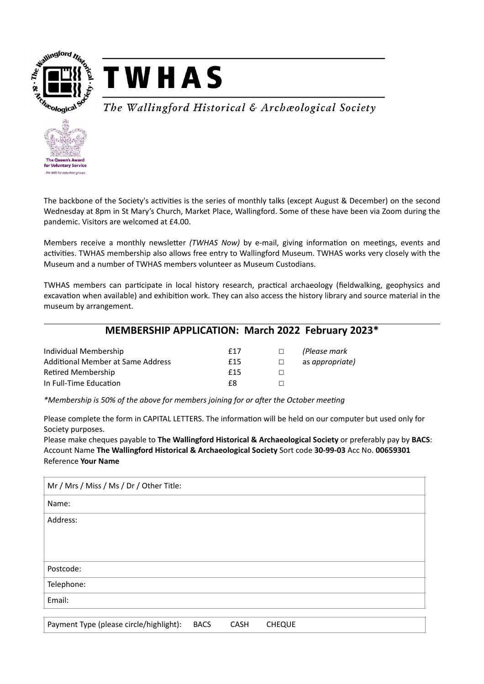



## The Wallingford Historical & Archæological Society



The backbone of the Society's activities is the series of monthly talks (except August & December) on the second Wednesday at 8pm in St Mary's Church, Market Place, Wallingford. Some of these have been via Zoom during the pandemic. Visitors are welcomed at £4.00.

Members receive a monthly newsletter *(TWHAS Now)* by e-mail, giving information on meetings, events and activities. TWHAS membership also allows free entry to Wallingford Museum. TWHAS works very closely with the Museum and a number of TWHAS members volunteer as Museum Custodians.

TWHAS members can participate in local history research, practical archaeology (fieldwalking, geophysics and excavation when available) and exhibition work. They can also access the history library and source material in the museum by arrangement.

## **MEMBERSHIP APPLICATION: March 2022 February 2023\***

| Individual Membership             | f17 | $\Box$ | (Please mark    |
|-----------------------------------|-----|--------|-----------------|
| Additional Member at Same Address | f15 | $\Box$ | as appropriate) |
| Retired Membership                | f15 |        |                 |
| In Full-Time Education            | £8  |        |                 |

*\*Membership is 50% of the above for members joining for or after the October meeting*

Please complete the form in CAPITAL LETTERS. The information will be held on our computer but used only for Society purposes.

Please make cheques payable to **The Wallingford Historical & Archaeological Society** or preferably pay by **BACS**: Account Name **The Wallingford Historical & Archaeological Society** Sort code **30-99-03** Acc No. **00659301**  Reference **Your Name**

| Mr / Mrs / Miss / Ms / Dr / Other Title: |             |      |               |
|------------------------------------------|-------------|------|---------------|
| Name:                                    |             |      |               |
| Address:                                 |             |      |               |
|                                          |             |      |               |
|                                          |             |      |               |
| Postcode:                                |             |      |               |
| Telephone:                               |             |      |               |
| Email:                                   |             |      |               |
| Payment Type (please circle/highlight):  | <b>BACS</b> | CASH | <b>CHEQUE</b> |